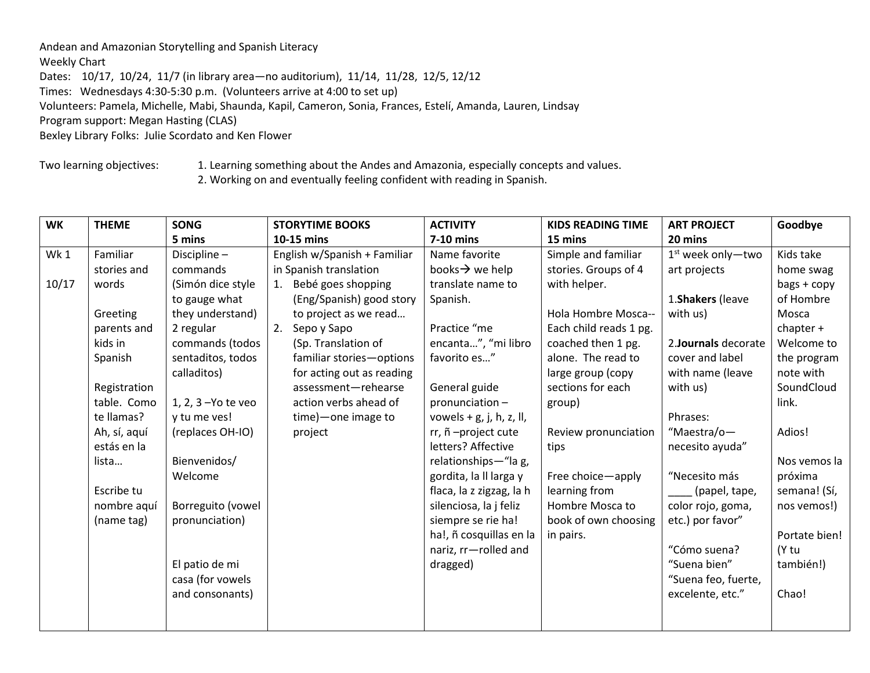Andean and Amazonian Storytelling and Spanish Literacy

## Weekly Chart

Dates: 10/17, 10/24, 11/7 (in library area—no auditorium), 11/14, 11/28, 12/5, 12/12 Times: Wednesdays 4:30-5:30 p.m. (Volunteers arrive at 4:00 to set up) Volunteers: Pamela, Michelle, Mabi, Shaunda, Kapil, Cameron, Sonia, Frances, Estelí, Amanda, Lauren, Lindsay Program support: Megan Hasting (CLAS) Bexley Library Folks: Julie Scordato and Ken Flower

Two learning objectives: 1. Learning something about the Andes and Amazonia, especially concepts and values.

2. Working on and eventually feeling confident with reading in Spanish.

| <b>WK</b> | <b>THEME</b> | <b>SONG</b>         | <b>STORYTIME BOOKS</b>       | <b>ACTIVITY</b>             | <b>KIDS READING TIME</b> | <b>ART PROJECT</b>   | Goodbye       |
|-----------|--------------|---------------------|------------------------------|-----------------------------|--------------------------|----------------------|---------------|
|           |              | 5 mins              | 10-15 mins                   | 7-10 mins                   | 15 mins                  | 20 mins              |               |
| Wk1       | Familiar     | Discipline-         | English w/Spanish + Familiar | Name favorite               | Simple and familiar      | $1st$ week only-two  | Kids take     |
|           | stories and  | commands            | in Spanish translation       | books $\rightarrow$ we help | stories. Groups of 4     | art projects         | home swag     |
| 10/17     | words        | (Simón dice style   | 1. Bebé goes shopping        | translate name to           | with helper.             |                      | bags + copy   |
|           |              | to gauge what       | (Eng/Spanish) good story     | Spanish.                    |                          | 1. Shakers (leave    | of Hombre     |
|           | Greeting     | they understand)    | to project as we read        |                             | Hola Hombre Mosca--      | with us)             | Mosca         |
|           | parents and  | 2 regular           | 2. Sepo y Sapo               | Practice "me                | Each child reads 1 pg.   |                      | chapter $+$   |
|           | kids in      | commands (todos     | (Sp. Translation of          | encanta", "mi libro         | coached then 1 pg.       | 2. Journals decorate | Welcome to    |
|           | Spanish      | sentaditos, todos   | familiar stories-options     | favorito es"                | alone. The read to       | cover and label      | the program   |
|           |              | calladitos)         | for acting out as reading    |                             | large group (copy        | with name (leave     | note with     |
|           | Registration |                     | assessment-rehearse          | General guide               | sections for each        | with us)             | SoundCloud    |
|           | table. Como  | 1, 2, 3 - Yo te veo | action verbs ahead of        | pronunciation-              | group)                   |                      | link.         |
|           | te llamas?   | y tu me ves!        | time) — one image to         | vowels $+$ g, j, h, z, ll,  |                          | Phrases:             |               |
|           | Ah, sí, aquí | (replaces OH-IO)    | project                      | rr, ñ-project cute          | Review pronunciation     | "Maestra/o-          | Adios!        |
|           | estás en la  |                     |                              | letters? Affective          | tips                     | necesito ayuda"      |               |
|           | lista        | Bienvenidos/        |                              | relationships-"la g,        |                          |                      | Nos vemos la  |
|           |              | Welcome             |                              | gordita, la II larga y      | Free choice-apply        | "Necesito más        | próxima       |
|           | Escribe tu   |                     |                              | flaca, la z zigzag, la h    | learning from            | (papel, tape,        | semana! (Sí,  |
|           | nombre aquí  | Borreguito (vowel   |                              | silenciosa, la j feliz      | Hombre Mosca to          | color rojo, goma,    | nos vemos!)   |
|           | (name tag)   | pronunciation)      |                              | siempre se rie ha!          | book of own choosing     | etc.) por favor"     |               |
|           |              |                     |                              | ha!, ñ cosquillas en la     | in pairs.                |                      | Portate bien! |
|           |              |                     |                              | nariz, rr-rolled and        |                          | "Cómo suena?         | (Y tu         |
|           |              | El patio de mi      |                              | dragged)                    |                          | "Suena bien"         | también!)     |
|           |              | casa (for vowels    |                              |                             |                          | "Suena feo, fuerte,  |               |
|           |              | and consonants)     |                              |                             |                          | excelente, etc."     | Chao!         |
|           |              |                     |                              |                             |                          |                      |               |
|           |              |                     |                              |                             |                          |                      |               |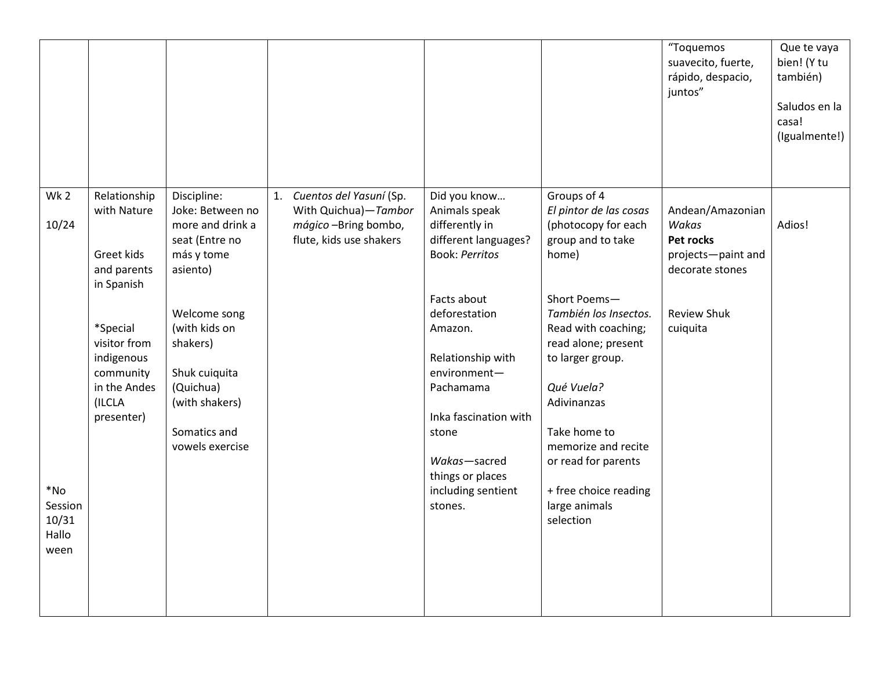|                                                                         |                                                                                                                                                                       |                                                                                                                                                                                                                                 |                                                                                                       |                                                                                                                                                                                                                                                                                                      |                                                                                                                                                                                                                                                                                                                                                         | "Toquemos<br>suavecito, fuerte,<br>rápido, despacio,<br>juntos"                                                   | Que te vaya<br>bien! (Y tu<br>también)<br>Saludos en la<br>casa!<br>(Igualmente!) |
|-------------------------------------------------------------------------|-----------------------------------------------------------------------------------------------------------------------------------------------------------------------|---------------------------------------------------------------------------------------------------------------------------------------------------------------------------------------------------------------------------------|-------------------------------------------------------------------------------------------------------|------------------------------------------------------------------------------------------------------------------------------------------------------------------------------------------------------------------------------------------------------------------------------------------------------|---------------------------------------------------------------------------------------------------------------------------------------------------------------------------------------------------------------------------------------------------------------------------------------------------------------------------------------------------------|-------------------------------------------------------------------------------------------------------------------|-----------------------------------------------------------------------------------|
| Wk <sub>2</sub><br>10/24<br>$*$ No<br>Session<br>10/31<br>Hallo<br>ween | Relationship<br>with Nature<br>Greet kids<br>and parents<br>in Spanish<br>*Special<br>visitor from<br>indigenous<br>community<br>in the Andes<br>(ILCLA<br>presenter) | Discipline:<br>Joke: Between no<br>more and drink a<br>seat (Entre no<br>más y tome<br>asiento)<br>Welcome song<br>(with kids on<br>shakers)<br>Shuk cuiquita<br>(Quichua)<br>(with shakers)<br>Somatics and<br>vowels exercise | 1. Cuentos del Yasuní (Sp.<br>With Quichua)-Tambor<br>mágico -Bring bombo,<br>flute, kids use shakers | Did you know<br>Animals speak<br>differently in<br>different languages?<br><b>Book: Perritos</b><br>Facts about<br>deforestation<br>Amazon.<br>Relationship with<br>environment-<br>Pachamama<br>Inka fascination with<br>stone<br>Wakas-sacred<br>things or places<br>including sentient<br>stones. | Groups of 4<br>El pintor de las cosas<br>(photocopy for each<br>group and to take<br>home)<br>Short Poems-<br>También los Insectos.<br>Read with coaching;<br>read alone; present<br>to larger group.<br>Qué Vuela?<br>Adivinanzas<br>Take home to<br>memorize and recite<br>or read for parents<br>+ free choice reading<br>large animals<br>selection | Andean/Amazonian<br>Wakas<br>Pet rocks<br>projects-paint and<br>decorate stones<br><b>Review Shuk</b><br>cuiquita | Adios!                                                                            |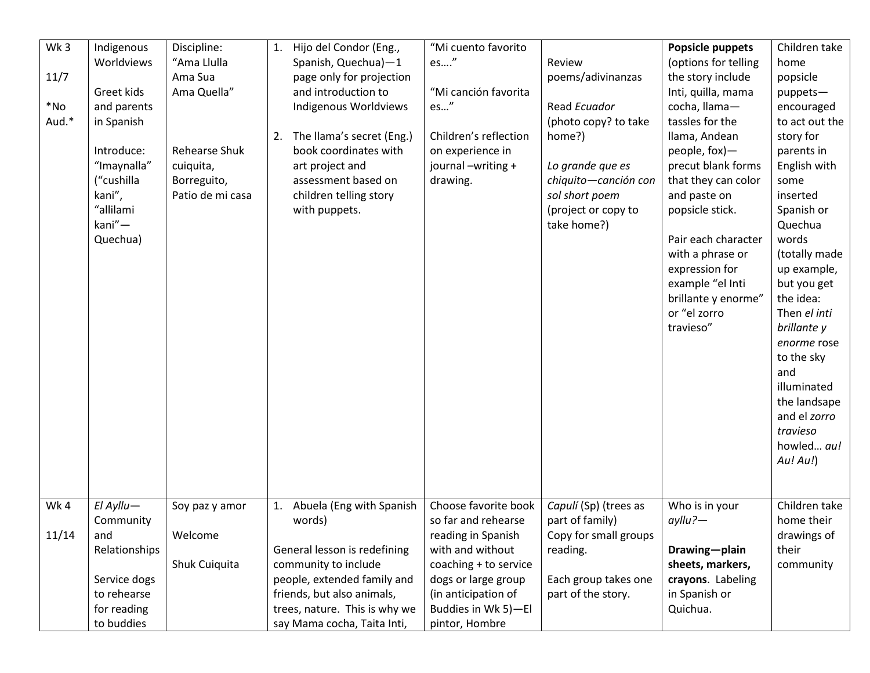| Wk3    | Indigenous    | Discipline:          |    | 1. Hijo del Condor (Eng.,     | "Mi cuento favorito   |                       | Popsicle puppets     | Children take  |
|--------|---------------|----------------------|----|-------------------------------|-----------------------|-----------------------|----------------------|----------------|
|        | Worldviews    | "Ama Llulla          |    | Spanish, Quechua)-1           | es"                   | Review                | (options for telling | home           |
| 11/7   |               | Ama Sua              |    | page only for projection      |                       | poems/adivinanzas     | the story include    | popsicle       |
|        | Greet kids    | Ama Quella"          |    | and introduction to           | "Mi canción favorita  |                       | Inti, quilla, mama   | puppets-       |
| $*$ No | and parents   |                      |    | Indigenous Worldviews         | es"                   | Read Ecuador          | cocha, llama-        | encouraged     |
| Aud.*  | in Spanish    |                      |    |                               |                       | (photo copy? to take  | tassles for the      | to act out the |
|        |               |                      |    | 2. The Ilama's secret (Eng.)  | Children's reflection | home?)                | Ilama, Andean        | story for      |
|        | Introduce:    | <b>Rehearse Shuk</b> |    | book coordinates with         | on experience in      |                       | people, fox)-        | parents in     |
|        | "Imaynalla"   | cuiquita,            |    | art project and               | journal-writing +     | Lo grande que es      | precut blank forms   | English with   |
|        | ("cushilla    | Borreguito,          |    | assessment based on           | drawing.              | chiquito-canción con  | that they can color  | some           |
|        | kani",        | Patio de mi casa     |    | children telling story        |                       | sol short poem        | and paste on         | inserted       |
|        | "allilami     |                      |    | with puppets.                 |                       | (project or copy to   | popsicle stick.      | Spanish or     |
|        | kani"-        |                      |    |                               |                       | take home?)           |                      | Quechua        |
|        | Quechua)      |                      |    |                               |                       |                       | Pair each character  | words          |
|        |               |                      |    |                               |                       |                       | with a phrase or     | (totally made  |
|        |               |                      |    |                               |                       |                       | expression for       | up example,    |
|        |               |                      |    |                               |                       |                       | example "el Inti     | but you get    |
|        |               |                      |    |                               |                       |                       | brillante y enorme"  | the idea:      |
|        |               |                      |    |                               |                       |                       | or "el zorro         | Then el inti   |
|        |               |                      |    |                               |                       |                       | travieso"            | brillante y    |
|        |               |                      |    |                               |                       |                       |                      | enorme rose    |
|        |               |                      |    |                               |                       |                       |                      | to the sky     |
|        |               |                      |    |                               |                       |                       |                      | and            |
|        |               |                      |    |                               |                       |                       |                      | illuminated    |
|        |               |                      |    |                               |                       |                       |                      | the landsape   |
|        |               |                      |    |                               |                       |                       |                      | and el zorro   |
|        |               |                      |    |                               |                       |                       |                      | travieso       |
|        |               |                      |    |                               |                       |                       |                      | howled au!     |
|        |               |                      |    |                               |                       |                       |                      | Au!Au!)        |
|        |               |                      |    |                               |                       |                       |                      |                |
|        |               |                      |    |                               |                       |                       |                      |                |
| Wk4    | $E$   Ayllu-  | Soy paz y amor       | 1. | Abuela (Eng with Spanish      | Choose favorite book  | Capulí (Sp) (trees as | Who is in your       | Children take  |
|        | Community     |                      |    | words)                        | so far and rehearse   | part of family)       | $ayllu?$ -           | home their     |
| 11/14  | and           | Welcome              |    |                               | reading in Spanish    | Copy for small groups |                      | drawings of    |
|        | Relationships |                      |    | General lesson is redefining  | with and without      | reading.              | Drawing-plain        | their          |
|        |               | Shuk Cuiquita        |    | community to include          | coaching + to service |                       | sheets, markers,     | community      |
|        | Service dogs  |                      |    | people, extended family and   | dogs or large group   | Each group takes one  | crayons. Labeling    |                |
|        | to rehearse   |                      |    | friends, but also animals,    | (in anticipation of   | part of the story.    | in Spanish or        |                |
|        | for reading   |                      |    | trees, nature. This is why we | Buddies in Wk 5)-El   |                       | Quichua.             |                |
|        | to buddies    |                      |    | say Mama cocha, Taita Inti,   | pintor, Hombre        |                       |                      |                |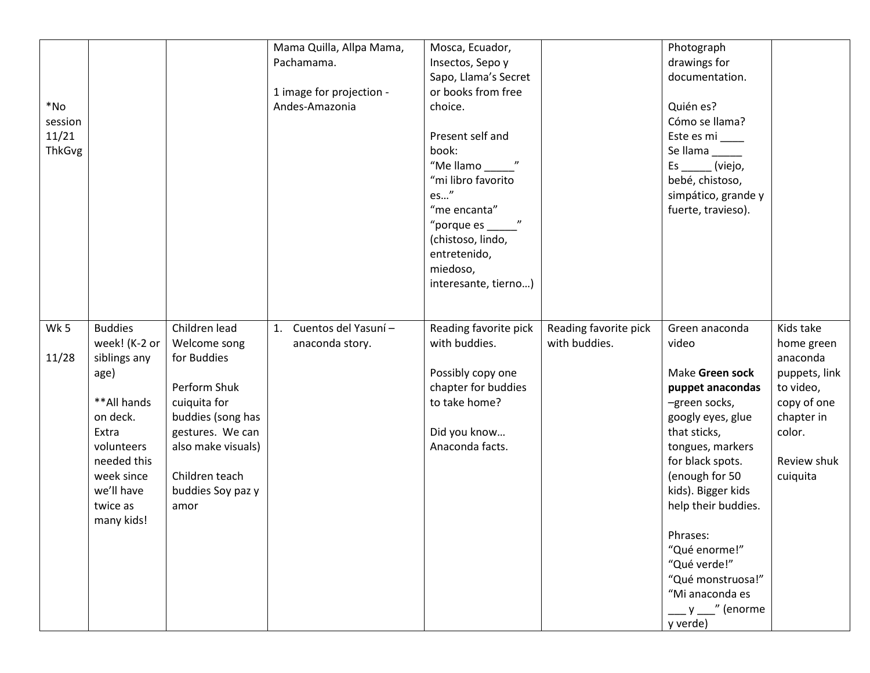| $*$ No<br>session<br>11/21<br><b>ThkGvg</b> |                                                                                                                                                                                |                                                                                                                                                                                            | Mama Quilla, Allpa Mama,<br>Pachamama.<br>1 image for projection -<br>Andes-Amazonia | Mosca, Ecuador,<br>Insectos, Sepo y<br>Sapo, Llama's Secret<br>or books from free<br>choice.<br>Present self and<br>book:<br>"Mellamo"<br>"mi libro favorito<br>es"<br>"me encanta"<br>"porque es<br>(chistoso, lindo,<br>entretenido,<br>miedoso,<br>interesante, tierno) |                                        | Photograph<br>drawings for<br>documentation.<br>Quién es?<br>Cómo se llama?<br>Este es mi ____<br>Se llama _____<br>Es ______ (viejo,<br>bebé, chistoso,<br>simpático, grande y<br>fuerte, travieso).                                                                                                                                            |                                                                                                                                     |
|---------------------------------------------|--------------------------------------------------------------------------------------------------------------------------------------------------------------------------------|--------------------------------------------------------------------------------------------------------------------------------------------------------------------------------------------|--------------------------------------------------------------------------------------|----------------------------------------------------------------------------------------------------------------------------------------------------------------------------------------------------------------------------------------------------------------------------|----------------------------------------|--------------------------------------------------------------------------------------------------------------------------------------------------------------------------------------------------------------------------------------------------------------------------------------------------------------------------------------------------|-------------------------------------------------------------------------------------------------------------------------------------|
| Wk 5<br>11/28                               | <b>Buddies</b><br>week! (K-2 or<br>siblings any<br>age)<br>**All hands<br>on deck.<br>Extra<br>volunteers<br>needed this<br>week since<br>we'll have<br>twice as<br>many kids! | Children lead<br>Welcome song<br>for Buddies<br>Perform Shuk<br>cuiquita for<br>buddies (song has<br>gestures. We can<br>also make visuals)<br>Children teach<br>buddies Soy paz y<br>amor | 1. Cuentos del Yasuní -<br>anaconda story.                                           | Reading favorite pick<br>with buddies.<br>Possibly copy one<br>chapter for buddies<br>to take home?<br>Did you know<br>Anaconda facts.                                                                                                                                     | Reading favorite pick<br>with buddies. | Green anaconda<br>video<br>Make Green sock<br>puppet anacondas<br>-green socks,<br>googly eyes, glue<br>that sticks,<br>tongues, markers<br>for black spots.<br>(enough for 50<br>kids). Bigger kids<br>help their buddies.<br>Phrases:<br>"Qué enorme!"<br>"Qué verde!"<br>"Qué monstruosa!"<br>"Mi anaconda es<br>$y$ ___" (enorme<br>y verde) | Kids take<br>home green<br>anaconda<br>puppets, link<br>to video,<br>copy of one<br>chapter in<br>color.<br>Review shuk<br>cuiquita |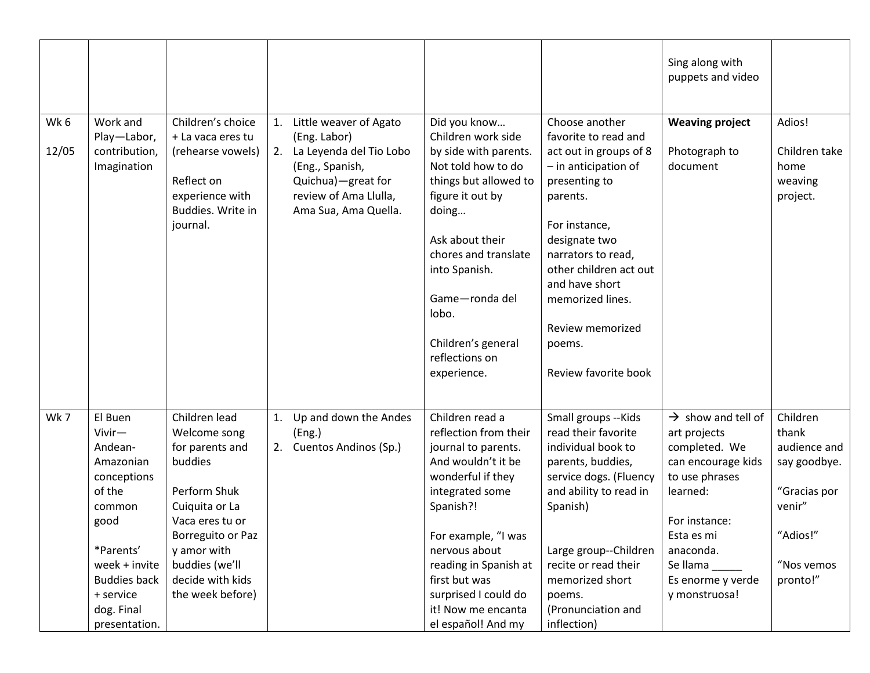|               |                                                                                                                                                                                       |                                                                                                                                                                                                                |    |                                                                                                                                                                   |                                                                                                                                                                                                                                                                                                  |                                                                                                                                                                                                                                                                                                       | Sing along with<br>puppets and video                                                                                                                                                                               |                                                                                                                   |
|---------------|---------------------------------------------------------------------------------------------------------------------------------------------------------------------------------------|----------------------------------------------------------------------------------------------------------------------------------------------------------------------------------------------------------------|----|-------------------------------------------------------------------------------------------------------------------------------------------------------------------|--------------------------------------------------------------------------------------------------------------------------------------------------------------------------------------------------------------------------------------------------------------------------------------------------|-------------------------------------------------------------------------------------------------------------------------------------------------------------------------------------------------------------------------------------------------------------------------------------------------------|--------------------------------------------------------------------------------------------------------------------------------------------------------------------------------------------------------------------|-------------------------------------------------------------------------------------------------------------------|
| Wk 6<br>12/05 | Work and<br>Play-Labor,<br>contribution,<br>Imagination                                                                                                                               | Children's choice<br>+ La vaca eres tu<br>(rehearse vowels)<br>Reflect on<br>experience with<br>Buddies. Write in<br>journal.                                                                                  |    | 1. Little weaver of Agato<br>(Eng. Labor)<br>2. La Leyenda del Tio Lobo<br>(Eng., Spanish,<br>Quichua)-great for<br>review of Ama Llulla,<br>Ama Sua, Ama Quella. | Did you know<br>Children work side<br>by side with parents.<br>Not told how to do<br>things but allowed to<br>figure it out by<br>doing<br>Ask about their<br>chores and translate<br>into Spanish.<br>Game-ronda del<br>lobo.<br>Children's general<br>reflections on<br>experience.            | Choose another<br>favorite to read and<br>act out in groups of 8<br>$-$ in anticipation of<br>presenting to<br>parents.<br>For instance,<br>designate two<br>narrators to read,<br>other children act out<br>and have short<br>memorized lines.<br>Review memorized<br>poems.<br>Review favorite book | <b>Weaving project</b><br>Photograph to<br>document                                                                                                                                                                | Adios!<br>Children take<br>home<br>weaving<br>project.                                                            |
| Wk7           | El Buen<br>Vivir-<br>Andean-<br>Amazonian<br>conceptions<br>of the<br>common<br>good<br>*Parents'<br>week + invite<br><b>Buddies back</b><br>+ service<br>dog. Final<br>presentation. | Children lead<br>Welcome song<br>for parents and<br>buddies<br>Perform Shuk<br>Cuiquita or La<br>Vaca eres tu or<br>Borreguito or Paz<br>y amor with<br>buddies (we'll<br>decide with kids<br>the week before) | 1. | Up and down the Andes<br>(Eng.)<br>2. Cuentos Andinos (Sp.)                                                                                                       | Children read a<br>reflection from their<br>journal to parents.<br>And wouldn't it be<br>wonderful if they<br>integrated some<br>Spanish?!<br>For example, "I was<br>nervous about<br>reading in Spanish at<br>first but was<br>surprised I could do<br>it! Now me encanta<br>el español! And my | Small groups -- Kids<br>read their favorite<br>individual book to<br>parents, buddies,<br>service dogs. (Fluency<br>and ability to read in<br>Spanish)<br>Large group--Children<br>recite or read their<br>memorized short<br>poems.<br>(Pronunciation and<br>inflection)                             | $\rightarrow$ show and tell of<br>art projects<br>completed. We<br>can encourage kids<br>to use phrases<br>learned:<br>For instance:<br>Esta es mi<br>anaconda.<br>Se llama_<br>Es enorme y verde<br>y monstruosa! | Children<br>thank<br>audience and<br>say goodbye.<br>"Gracias por<br>venir"<br>"Adios!"<br>"Nos vemos<br>pronto!" |